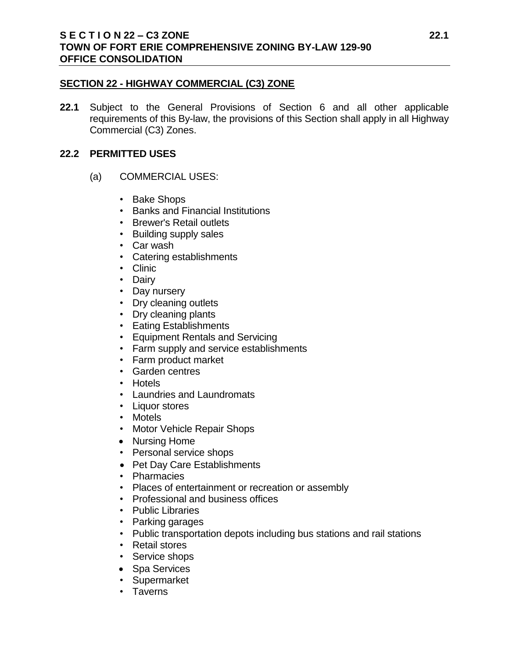# **SECTION 22 - HIGHWAY COMMERCIAL (C3) ZONE**

**22.1** Subject to the General Provisions of Section 6 and all other applicable requirements of this By-law, the provisions of this Section shall apply in all Highway Commercial (C3) Zones.

# **22.2 PERMITTED USES**

- (a) COMMERCIAL USES:
	- Bake Shops
	- Banks and Financial Institutions
	- Brewer's Retail outlets
	- Building supply sales
	- Car wash
	- Catering establishments
	- Clinic
	- Dairy
	- Day nursery
	- Dry cleaning outlets
	- Dry cleaning plants
	- Eating Establishments
	- Equipment Rentals and Servicing
	- Farm supply and service establishments
	- Farm product market
	- Garden centres
	- Hotels
	- Laundries and Laundromats
	- Liquor stores
	- Motels
	- Motor Vehicle Repair Shops
	- Nursing Home
	- Personal service shops
	- Pet Day Care Establishments
	- Pharmacies
	- Places of entertainment or recreation or assembly
	- Professional and business offices
	- Public Libraries
	- Parking garages
	- Public transportation depots including bus stations and rail stations
	- Retail stores
	- Service shops
	- Spa Services
	- Supermarket
	- Taverns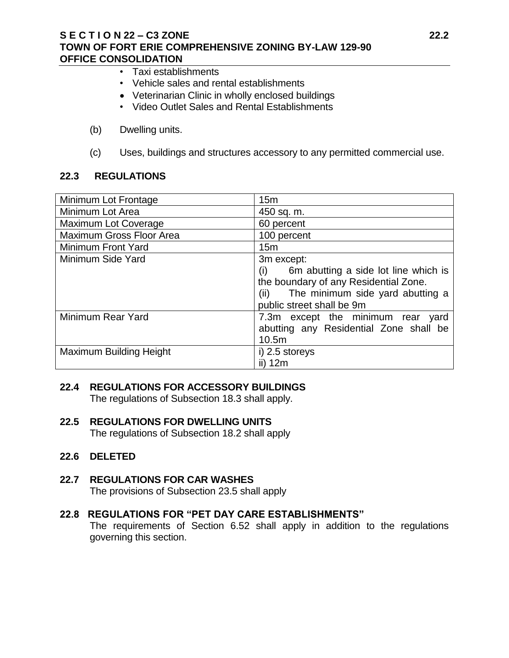### **S E C T I O N 22 – C3 ZONE 22.2 TOWN OF FORT ERIE COMPREHENSIVE ZONING BY-LAW 129-90 OFFICE CONSOLIDATION**

- Taxi establishments
- Vehicle sales and rental establishments
- Veterinarian Clinic in wholly enclosed buildings
- Video Outlet Sales and Rental Establishments
- (b) Dwelling units.
- (c) Uses, buildings and structures accessory to any permitted commercial use.

# **22.3 REGULATIONS**

| Minimum Lot Frontage            | 15 <sub>m</sub>                             |
|---------------------------------|---------------------------------------------|
| Minimum Lot Area                | 450 sq. m.                                  |
| Maximum Lot Coverage            | 60 percent                                  |
| <b>Maximum Gross Floor Area</b> | 100 percent                                 |
| Minimum Front Yard              | 15 <sub>m</sub>                             |
| Minimum Side Yard               | 3m except:                                  |
|                                 | 6m abutting a side lot line which is<br>(i) |
|                                 | the boundary of any Residential Zone.       |
|                                 | (ii) The minimum side yard abutting a       |
|                                 | public street shall be 9m                   |
| Minimum Rear Yard               | 7.3m except the minimum rear yard           |
|                                 | abutting any Residential Zone shall be      |
|                                 | 10.5m                                       |
| Maximum Building Height         | i) 2.5 storeys                              |
|                                 | ii) 12m                                     |

# **22.4 REGULATIONS FOR ACCESSORY BUILDINGS**

The regulations of Subsection 18.3 shall apply.

# **22.5 REGULATIONS FOR DWELLING UNITS**

The regulations of Subsection 18.2 shall apply

**22.6 DELETED**

# **22.7 REGULATIONS FOR CAR WASHES**

The provisions of Subsection 23.5 shall apply

# **22.8 REGULATIONS FOR "PET DAY CARE ESTABLISHMENTS"**

The requirements of Section 6.52 shall apply in addition to the regulations governing this section.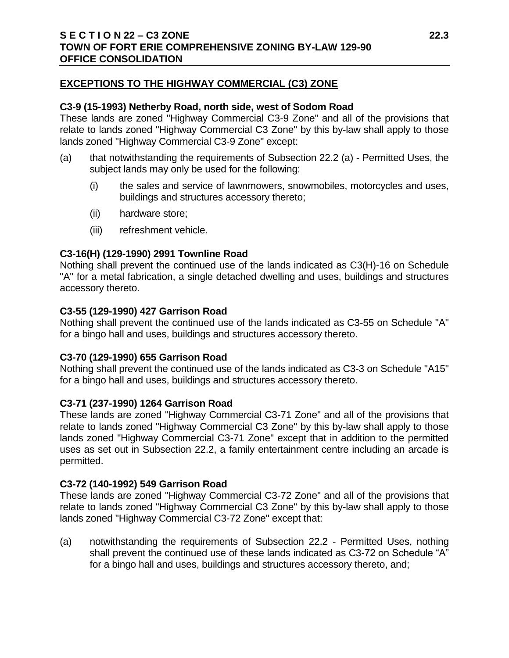# **EXCEPTIONS TO THE HIGHWAY COMMERCIAL (C3) ZONE**

### **C3-9 (15-1993) Netherby Road, north side, west of Sodom Road**

These lands are zoned "Highway Commercial C3-9 Zone" and all of the provisions that relate to lands zoned "Highway Commercial C3 Zone" by this by-law shall apply to those lands zoned "Highway Commercial C3-9 Zone" except:

- (a) that notwithstanding the requirements of Subsection 22.2 (a) Permitted Uses, the subject lands may only be used for the following:
	- (i) the sales and service of lawnmowers, snowmobiles, motorcycles and uses, buildings and structures accessory thereto;
	- (ii) hardware store;
	- (iii) refreshment vehicle.

# **C3-16(H) (129-1990) 2991 Townline Road**

Nothing shall prevent the continued use of the lands indicated as C3(H)-16 on Schedule "A" for a metal fabrication, a single detached dwelling and uses, buildings and structures accessory thereto.

#### **C3-55 (129-1990) 427 Garrison Road**

Nothing shall prevent the continued use of the lands indicated as C3-55 on Schedule "A" for a bingo hall and uses, buildings and structures accessory thereto.

# **C3-70 (129-1990) 655 Garrison Road**

Nothing shall prevent the continued use of the lands indicated as C3-3 on Schedule "A15" for a bingo hall and uses, buildings and structures accessory thereto.

# **C3-71 (237-1990) 1264 Garrison Road**

These lands are zoned "Highway Commercial C3-71 Zone" and all of the provisions that relate to lands zoned "Highway Commercial C3 Zone" by this by-law shall apply to those lands zoned "Highway Commercial C3-71 Zone" except that in addition to the permitted uses as set out in Subsection 22.2, a family entertainment centre including an arcade is permitted.

# **C3-72 (140-1992) 549 Garrison Road**

These lands are zoned "Highway Commercial C3-72 Zone" and all of the provisions that relate to lands zoned "Highway Commercial C3 Zone" by this by-law shall apply to those lands zoned "Highway Commercial C3-72 Zone" except that:

(a) notwithstanding the requirements of Subsection 22.2 - Permitted Uses, nothing shall prevent the continued use of these lands indicated as C3-72 on Schedule "A" for a bingo hall and uses, buildings and structures accessory thereto, and;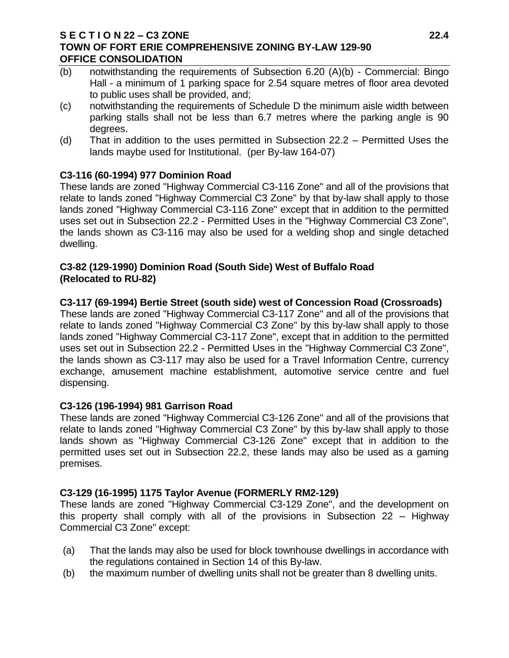### **S E C T I O N 22 – C3 ZONE 22.4 TOWN OF FORT ERIE COMPREHENSIVE ZONING BY-LAW 129-90 OFFICE CONSOLIDATION**

- (b) notwithstanding the requirements of Subsection 6.20 (A)(b) Commercial: Bingo Hall - a minimum of 1 parking space for 2.54 square metres of floor area devoted to public uses shall be provided, and;
- (c) notwithstanding the requirements of Schedule D the minimum aisle width between parking stalls shall not be less than 6.7 metres where the parking angle is 90 degrees.
- (d) That in addition to the uses permitted in Subsection 22.2 Permitted Uses the lands maybe used for Institutional. (per By-law 164-07)

# **C3-116 (60-1994) 977 Dominion Road**

These lands are zoned "Highway Commercial C3-116 Zone" and all of the provisions that relate to lands zoned "Highway Commercial C3 Zone" by that by-law shall apply to those lands zoned "Highway Commercial C3-116 Zone" except that in addition to the permitted uses set out in Subsection 22.2 - Permitted Uses in the "Highway Commercial C3 Zone", the lands shown as C3-116 may also be used for a welding shop and single detached dwelling.

# **C3-82 (129-1990) Dominion Road (South Side) West of Buffalo Road (Relocated to RU-82)**

# **C3-117 (69-1994) Bertie Street (south side) west of Concession Road (Crossroads)**

These lands are zoned "Highway Commercial C3-117 Zone" and all of the provisions that relate to lands zoned "Highway Commercial C3 Zone" by this by-law shall apply to those lands zoned "Highway Commercial C3-117 Zone", except that in addition to the permitted uses set out in Subsection 22.2 - Permitted Uses in the "Highway Commercial C3 Zone", the lands shown as C3-117 may also be used for a Travel Information Centre, currency exchange, amusement machine establishment, automotive service centre and fuel dispensing.

# **C3-126 (196-1994) 981 Garrison Road**

These lands are zoned "Highway Commercial C3-126 Zone" and all of the provisions that relate to lands zoned "Highway Commercial C3 Zone" by this by-law shall apply to those lands shown as "Highway Commercial C3-126 Zone" except that in addition to the permitted uses set out in Subsection 22.2, these lands may also be used as a gaming premises.

# **C3-129 (16-1995) 1175 Taylor Avenue (FORMERLY RM2-129)**

These lands are zoned "Highway Commercial C3-129 Zone", and the development on this property shall comply with all of the provisions in Subsection 22 – Highway Commercial C3 Zone" except:

- (a) That the lands may also be used for block townhouse dwellings in accordance with the regulations contained in Section 14 of this By-law.
- (b) the maximum number of dwelling units shall not be greater than 8 dwelling units.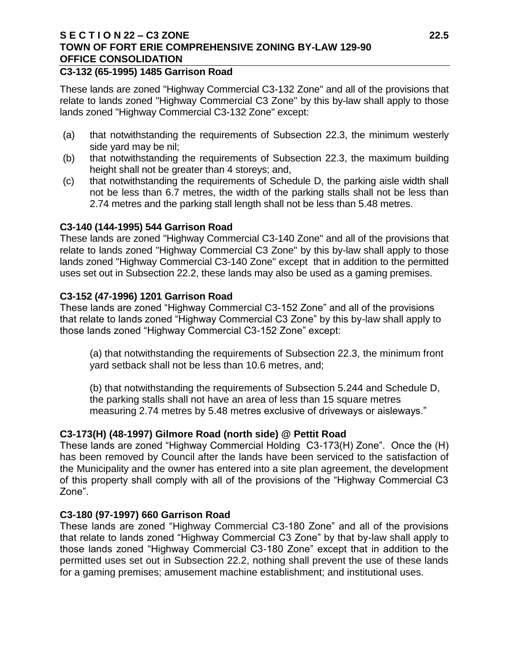#### **S E C T I O N 22 – C3 ZONE 22.5 TOWN OF FORT ERIE COMPREHENSIVE ZONING BY-LAW 129-90 OFFICE CONSOLIDATION**

#### **C3-132 (65-1995) 1485 Garrison Road**

These lands are zoned "Highway Commercial C3-132 Zone" and all of the provisions that relate to lands zoned "Highway Commercial C3 Zone" by this by-law shall apply to those lands zoned "Highway Commercial C3-132 Zone" except:

- (a) that notwithstanding the requirements of Subsection 22.3, the minimum westerly side yard may be nil;
- (b) that notwithstanding the requirements of Subsection 22.3, the maximum building height shall not be greater than 4 storeys; and,
- (c) that notwithstanding the requirements of Schedule D, the parking aisle width shall not be less than 6.7 metres, the width of the parking stalls shall not be less than 2.74 metres and the parking stall length shall not be less than 5.48 metres.

#### **C3-140 (144-1995) 544 Garrison Road**

These lands are zoned "Highway Commercial C3-140 Zone" and all of the provisions that relate to lands zoned "Highway Commercial C3 Zone" by this by-law shall apply to those lands zoned "Highway Commercial C3-140 Zone" except that in addition to the permitted uses set out in Subsection 22.2, these lands may also be used as a gaming premises.

#### **C3-152 (47-1996) 1201 Garrison Road**

These lands are zoned "Highway Commercial C3-152 Zone" and all of the provisions that relate to lands zoned "Highway Commercial C3 Zone" by this by-law shall apply to those lands zoned "Highway Commercial C3-152 Zone" except:

(a) that notwithstanding the requirements of Subsection 22.3, the minimum front yard setback shall not be less than 10.6 metres, and;

(b) that notwithstanding the requirements of Subsection 5.244 and Schedule D, the parking stalls shall not have an area of less than 15 square metres measuring 2.74 metres by 5.48 metres exclusive of driveways or aisleways."

# **C3-173(H) (48-1997) Gilmore Road (north side) @ Pettit Road**

These lands are zoned "Highway Commercial Holding C3-173(H) Zone". Once the (H) has been removed by Council after the lands have been serviced to the satisfaction of the Municipality and the owner has entered into a site plan agreement, the development of this property shall comply with all of the provisions of the "Highway Commercial C3 Zone".

#### **C3-180 (97-1997) 660 Garrison Road**

These lands are zoned "Highway Commercial C3-180 Zone" and all of the provisions that relate to lands zoned "Highway Commercial C3 Zone" by that by-law shall apply to those lands zoned "Highway Commercial C3-180 Zone" except that in addition to the permitted uses set out in Subsection 22.2, nothing shall prevent the use of these lands for a gaming premises; amusement machine establishment; and institutional uses.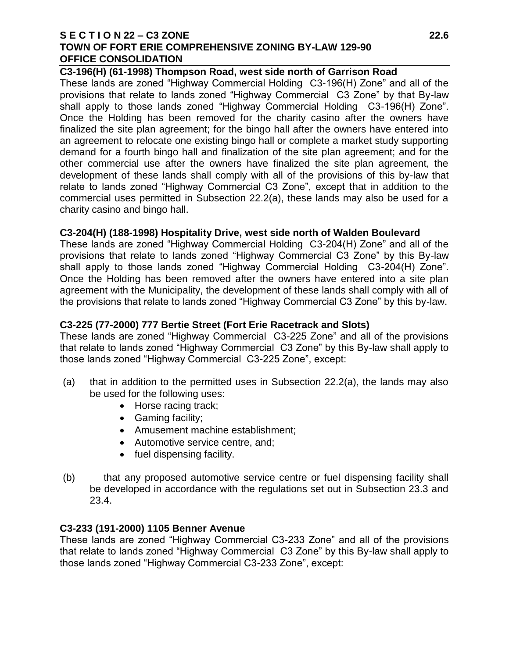### **S E C T I O N 22 – C3 ZONE 22.6 TOWN OF FORT ERIE COMPREHENSIVE ZONING BY-LAW 129-90 OFFICE CONSOLIDATION**

#### **C3-196(H) (61-1998) Thompson Road, west side north of Garrison Road**

These lands are zoned "Highway Commercial Holding C3-196(H) Zone" and all of the provisions that relate to lands zoned "Highway Commercial C3 Zone" by that By-law shall apply to those lands zoned "Highway Commercial Holding C3-196(H) Zone". Once the Holding has been removed for the charity casino after the owners have finalized the site plan agreement; for the bingo hall after the owners have entered into an agreement to relocate one existing bingo hall or complete a market study supporting demand for a fourth bingo hall and finalization of the site plan agreement; and for the other commercial use after the owners have finalized the site plan agreement, the development of these lands shall comply with all of the provisions of this by-law that relate to lands zoned "Highway Commercial C3 Zone", except that in addition to the commercial uses permitted in Subsection 22.2(a), these lands may also be used for a charity casino and bingo hall.

#### **C3-204(H) (188-1998) Hospitality Drive, west side north of Walden Boulevard**

These lands are zoned "Highway Commercial Holding C3-204(H) Zone" and all of the provisions that relate to lands zoned "Highway Commercial C3 Zone" by this By-law shall apply to those lands zoned "Highway Commercial Holding C3-204(H) Zone". Once the Holding has been removed after the owners have entered into a site plan agreement with the Municipality, the development of these lands shall comply with all of the provisions that relate to lands zoned "Highway Commercial C3 Zone" by this by-law.

# **C3-225 (77-2000) 777 Bertie Street (Fort Erie Racetrack and Slots)**

These lands are zoned "Highway Commercial C3-225 Zone" and all of the provisions that relate to lands zoned "Highway Commercial C3 Zone" by this By-law shall apply to those lands zoned "Highway Commercial C3-225 Zone", except:

- (a) that in addition to the permitted uses in Subsection 22.2(a), the lands may also be used for the following uses:
	- Horse racing track;
	- Gaming facility;
	- Amusement machine establishment;
	- Automotive service centre, and;
	- fuel dispensing facility.
- (b) that any proposed automotive service centre or fuel dispensing facility shall be developed in accordance with the regulations set out in Subsection 23.3 and 23.4.

# **C3-233 (191-2000) 1105 Benner Avenue**

These lands are zoned "Highway Commercial C3-233 Zone" and all of the provisions that relate to lands zoned "Highway Commercial C3 Zone" by this By-law shall apply to those lands zoned "Highway Commercial C3-233 Zone", except: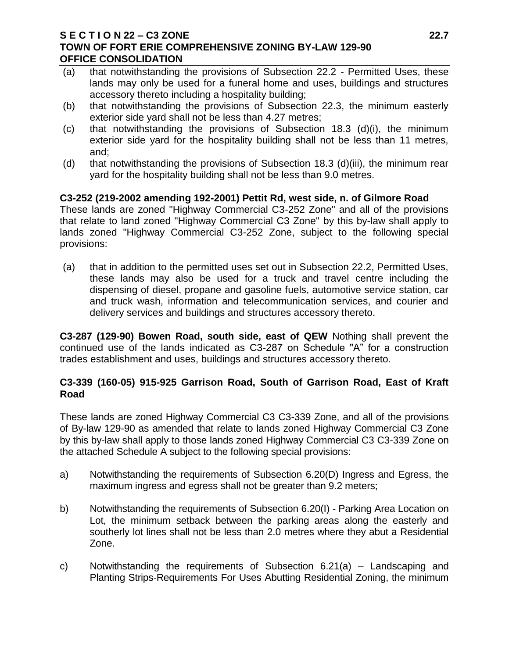### **S E C T I O N 22 – C3 ZONE 22.7 TOWN OF FORT ERIE COMPREHENSIVE ZONING BY-LAW 129-90 OFFICE CONSOLIDATION**

- (a) that notwithstanding the provisions of Subsection 22.2 Permitted Uses, these lands may only be used for a funeral home and uses, buildings and structures accessory thereto including a hospitality building;
- (b) that notwithstanding the provisions of Subsection 22.3, the minimum easterly exterior side yard shall not be less than 4.27 metres;
- (c) that notwithstanding the provisions of Subsection 18.3 (d)(i), the minimum exterior side yard for the hospitality building shall not be less than 11 metres, and;
- (d) that notwithstanding the provisions of Subsection 18.3 (d)(iii), the minimum rear yard for the hospitality building shall not be less than 9.0 metres.

# **C3-252 (219-2002 amending 192-2001) Pettit Rd, west side, n. of Gilmore Road**

These lands are zoned "Highway Commercial C3-252 Zone" and all of the provisions that relate to land zoned "Highway Commercial C3 Zone" by this by-law shall apply to lands zoned "Highway Commercial C3-252 Zone, subject to the following special provisions:

(a) that in addition to the permitted uses set out in Subsection 22.2, Permitted Uses, these lands may also be used for a truck and travel centre including the dispensing of diesel, propane and gasoline fuels, automotive service station, car and truck wash, information and telecommunication services, and courier and delivery services and buildings and structures accessory thereto.

**C3-287 (129-90) Bowen Road, south side, east of QEW** Nothing shall prevent the continued use of the lands indicated as C3-287 on Schedule "A" for a construction trades establishment and uses, buildings and structures accessory thereto.

# **C3-339 (160-05) 915-925 Garrison Road, South of Garrison Road, East of Kraft Road**

These lands are zoned Highway Commercial C3 C3-339 Zone, and all of the provisions of By-law 129-90 as amended that relate to lands zoned Highway Commercial C3 Zone by this by-law shall apply to those lands zoned Highway Commercial C3 C3-339 Zone on the attached Schedule A subject to the following special provisions:

- a) Notwithstanding the requirements of Subsection 6.20(D) Ingress and Egress, the maximum ingress and egress shall not be greater than 9.2 meters;
- b) Notwithstanding the requirements of Subsection 6.20(I) Parking Area Location on Lot, the minimum setback between the parking areas along the easterly and southerly lot lines shall not be less than 2.0 metres where they abut a Residential Zone.
- c) Notwithstanding the requirements of Subsection 6.21(a) Landscaping and Planting Strips-Requirements For Uses Abutting Residential Zoning, the minimum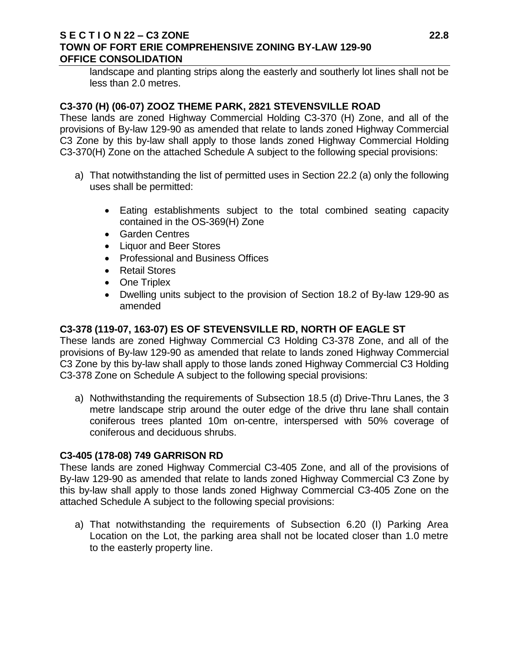# **S E C T I O N 22 – C3 ZONE 22.8 TOWN OF FORT ERIE COMPREHENSIVE ZONING BY-LAW 129-90 OFFICE CONSOLIDATION**

landscape and planting strips along the easterly and southerly lot lines shall not be less than 2.0 metres.

# **C3-370 (H) (06-07) ZOOZ THEME PARK, 2821 STEVENSVILLE ROAD**

These lands are zoned Highway Commercial Holding C3-370 (H) Zone, and all of the provisions of By-law 129-90 as amended that relate to lands zoned Highway Commercial C3 Zone by this by-law shall apply to those lands zoned Highway Commercial Holding C3-370(H) Zone on the attached Schedule A subject to the following special provisions:

- a) That notwithstanding the list of permitted uses in Section 22.2 (a) only the following uses shall be permitted:
	- Eating establishments subject to the total combined seating capacity contained in the OS-369(H) Zone
	- Garden Centres
	- Liquor and Beer Stores
	- Professional and Business Offices
	- Retail Stores
	- One Triplex
	- Dwelling units subject to the provision of Section 18.2 of By-law 129-90 as amended

# **C3-378 (119-07, 163-07) ES OF STEVENSVILLE RD, NORTH OF EAGLE ST**

These lands are zoned Highway Commercial C3 Holding C3-378 Zone, and all of the provisions of By-law 129-90 as amended that relate to lands zoned Highway Commercial C3 Zone by this by-law shall apply to those lands zoned Highway Commercial C3 Holding C3-378 Zone on Schedule A subject to the following special provisions:

a) Nothwithstanding the requirements of Subsection 18.5 (d) Drive-Thru Lanes, the 3 metre landscape strip around the outer edge of the drive thru lane shall contain coniferous trees planted 10m on-centre, interspersed with 50% coverage of coniferous and deciduous shrubs.

# **C3-405 (178-08) 749 GARRISON RD**

These lands are zoned Highway Commercial C3-405 Zone, and all of the provisions of By-law 129-90 as amended that relate to lands zoned Highway Commercial C3 Zone by this by-law shall apply to those lands zoned Highway Commercial C3-405 Zone on the attached Schedule A subject to the following special provisions:

a) That notwithstanding the requirements of Subsection 6.20 (I) Parking Area Location on the Lot, the parking area shall not be located closer than 1.0 metre to the easterly property line.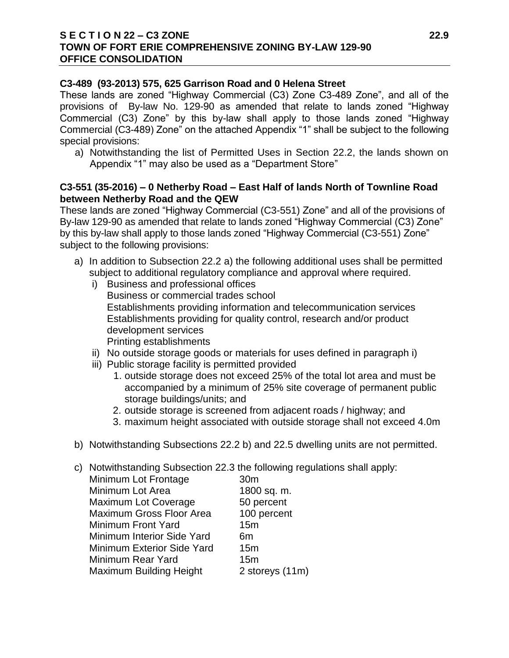# **S E C T I O N 22 – C3 ZONE 22.9 TOWN OF FORT ERIE COMPREHENSIVE ZONING BY-LAW 129-90 OFFICE CONSOLIDATION**

### **C3-489 (93-2013) 575, 625 Garrison Road and 0 Helena Street**

These lands are zoned "Highway Commercial (C3) Zone C3-489 Zone", and all of the provisions of By-law No. 129-90 as amended that relate to lands zoned "Highway Commercial (C3) Zone" by this by-law shall apply to those lands zoned "Highway Commercial (C3-489) Zone" on the attached Appendix "1" shall be subject to the following special provisions:

a) Notwithstanding the list of Permitted Uses in Section 22.2, the lands shown on Appendix "1" may also be used as a "Department Store"

### **C3-551 (35-2016) – 0 Netherby Road – East Half of lands North of Townline Road between Netherby Road and the QEW**

These lands are zoned "Highway Commercial (C3-551) Zone" and all of the provisions of By-law 129-90 as amended that relate to lands zoned "Highway Commercial (C3) Zone" by this by-law shall apply to those lands zoned "Highway Commercial (C3-551) Zone" subject to the following provisions:

- a) In addition to Subsection 22.2 a) the following additional uses shall be permitted subject to additional regulatory compliance and approval where required.
	- i) Business and professional offices Business or commercial trades school Establishments providing information and telecommunication services Establishments providing for quality control, research and/or product development services Printing establishments
	- ii) No outside storage goods or materials for uses defined in paragraph i)
	- iii) Public storage facility is permitted provided
		- 1. outside storage does not exceed 25% of the total lot area and must be accompanied by a minimum of 25% site coverage of permanent public storage buildings/units; and
		- 2. outside storage is screened from adjacent roads / highway; and
		- 3. maximum height associated with outside storage shall not exceed 4.0m
- b) Notwithstanding Subsections 22.2 b) and 22.5 dwelling units are not permitted.
- c) Notwithstanding Subsection 22.3 the following regulations shall apply:

| Minimum Lot Frontage              | 30 <sub>m</sub> |
|-----------------------------------|-----------------|
| Minimum Lot Area                  | 1800 sq. m.     |
| Maximum Lot Coverage              | 50 percent      |
| <b>Maximum Gross Floor Area</b>   | 100 percent     |
| <b>Minimum Front Yard</b>         | 15m             |
| <b>Minimum Interior Side Yard</b> | 6m              |
| Minimum Exterior Side Yard        | 15 <sub>m</sub> |
| Minimum Rear Yard                 | 15m             |
| <b>Maximum Building Height</b>    | 2 storeys (11m) |